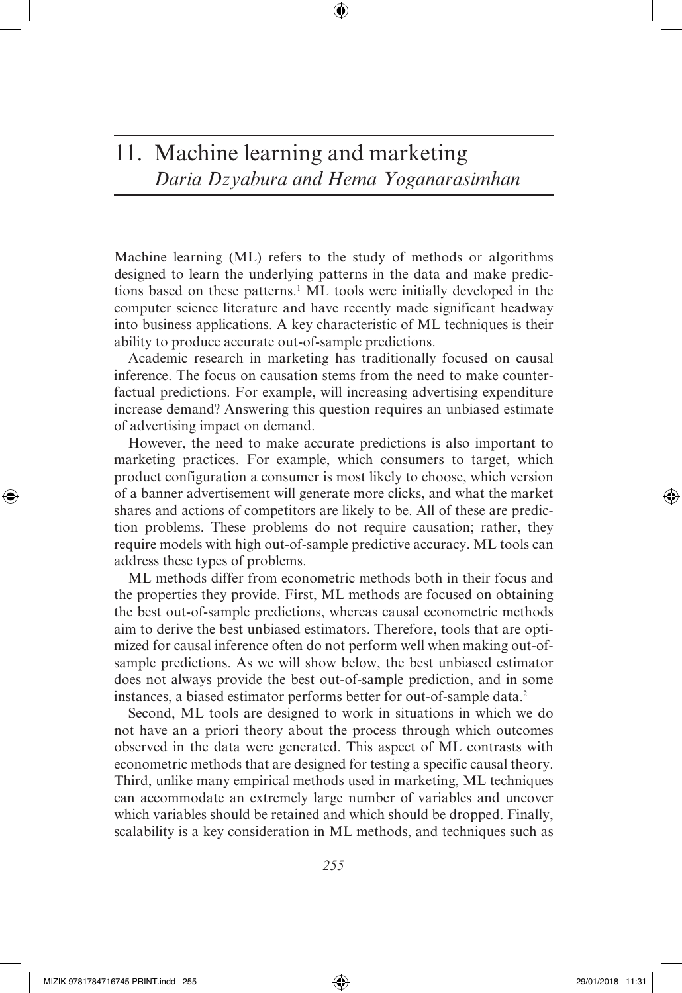# 11. Machine learning and marketing *Daria Dzyabura and Hema Yoganarasimhan*

⊕

Machine learning (ML) refers to the study of methods or algorithms designed to learn the underlying patterns in the data and make predictions based on these patterns.<sup>1</sup> ML tools were initially developed in the computer science literature and have recently made significant headway into business applications. A key characteristic of ML techniques is their ability to produce accurate out-of-sample predictions.

Academic research in marketing has traditionally focused on causal inference. The focus on causation stems from the need to make counterfactual predictions. For example, will increasing advertising expenditure increase demand? Answering this question requires an unbiased estimate of advertising impact on demand.

However, the need to make accurate predictions is also important to marketing practices. For example, which consumers to target, which product configuration a consumer is most likely to choose, which version of a banner advertisement will generate more clicks, and what the market shares and actions of competitors are likely to be. All of these are prediction problems. These problems do not require causation; rather, they require models with high out-of-sample predictive accuracy. ML tools can address these types of problems.

ML methods differ from econometric methods both in their focus and the properties they provide. First, ML methods are focused on obtaining the best out-of-sample predictions, whereas causal econometric methods aim to derive the best unbiased estimators. Therefore, tools that are optimized for causal inference often do not perform well when making out-ofsample predictions. As we will show below, the best unbiased estimator does not always provide the best out-of-sample prediction, and in some instances, a biased estimator performs better for out-of-sample data.2

Second, ML tools are designed to work in situations in which we do not have an a priori theory about the process through which outcomes observed in the data were generated. This aspect of ML contrasts with econometric methods that are designed for testing a specific causal theory. Third, unlike many empirical methods used in marketing, ML techniques can accommodate an extremely large number of variables and uncover which variables should be retained and which should be dropped. Finally, scalability is a key consideration in ML methods, and techniques such as

*255*

⊕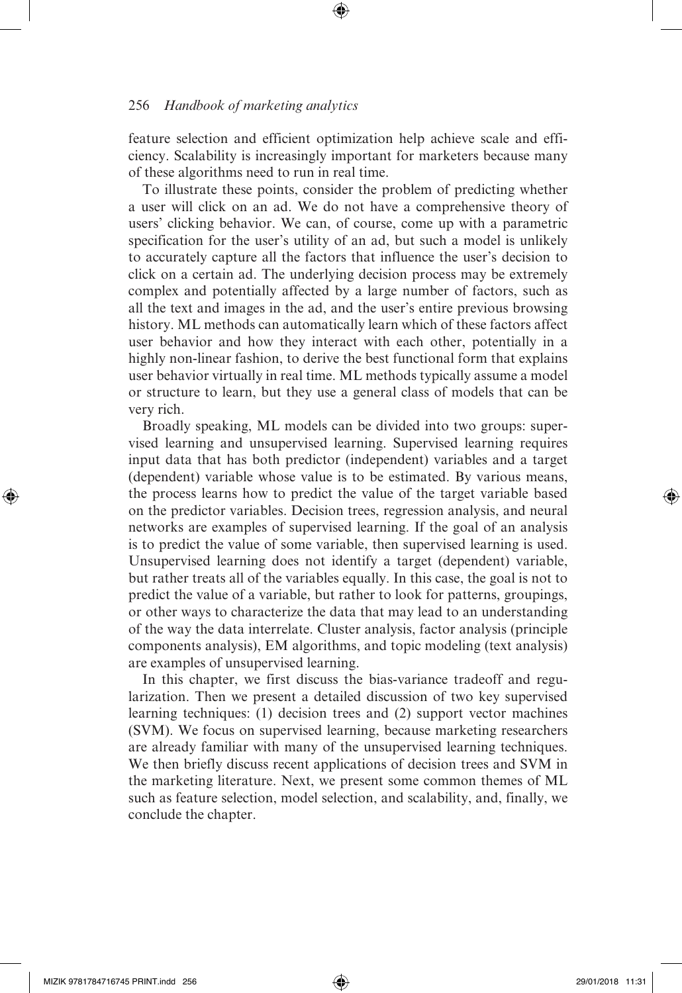feature selection and efficient optimization help achieve scale and efficiency. Scalability is increasingly important for marketers because many of these algorithms need to run in real time.

⊕

To illustrate these points, consider the problem of predicting whether a user will click on an ad. We do not have a comprehensive theory of users' clicking behavior. We can, of course, come up with a parametric specification for the user's utility of an ad, but such a model is unlikely to accurately capture all the factors that influence the user's decision to click on a certain ad. The underlying decision process may be extremely complex and potentially affected by a large number of factors, such as all the text and images in the ad, and the user's entire previous browsing history. ML methods can automatically learn which of these factors affect user behavior and how they interact with each other, potentially in a highly non-linear fashion, to derive the best functional form that explains user behavior virtually in real time. ML methods typically assume a model or structure to learn, but they use a general class of models that can be very rich.

Broadly speaking, ML models can be divided into two groups: supervised learning and unsupervised learning. Supervised learning requires input data that has both predictor (independent) variables and a target (dependent) variable whose value is to be estimated. By various means, the process learns how to predict the value of the target variable based on the predictor variables. Decision trees, regression analysis, and neural networks are examples of supervised learning. If the goal of an analysis is to predict the value of some variable, then supervised learning is used. Unsupervised learning does not identify a target (dependent) variable, but rather treats all of the variables equally. In this case, the goal is not to predict the value of a variable, but rather to look for patterns, groupings, or other ways to characterize the data that may lead to an understanding of the way the data interrelate. Cluster analysis, factor analysis (principle components analysis), EM algorithms, and topic modeling (text analysis) are examples of unsupervised learning.

In this chapter, we first discuss the bias-variance tradeoff and regularization. Then we present a detailed discussion of two key supervised learning techniques: (1) decision trees and (2) support vector machines (SVM). We focus on supervised learning, because marketing researchers are already familiar with many of the unsupervised learning techniques. We then briefly discuss recent applications of decision trees and SVM in the marketing literature. Next, we present some common themes of ML such as feature selection, model selection, and scalability, and, finally, we conclude the chapter.

⊕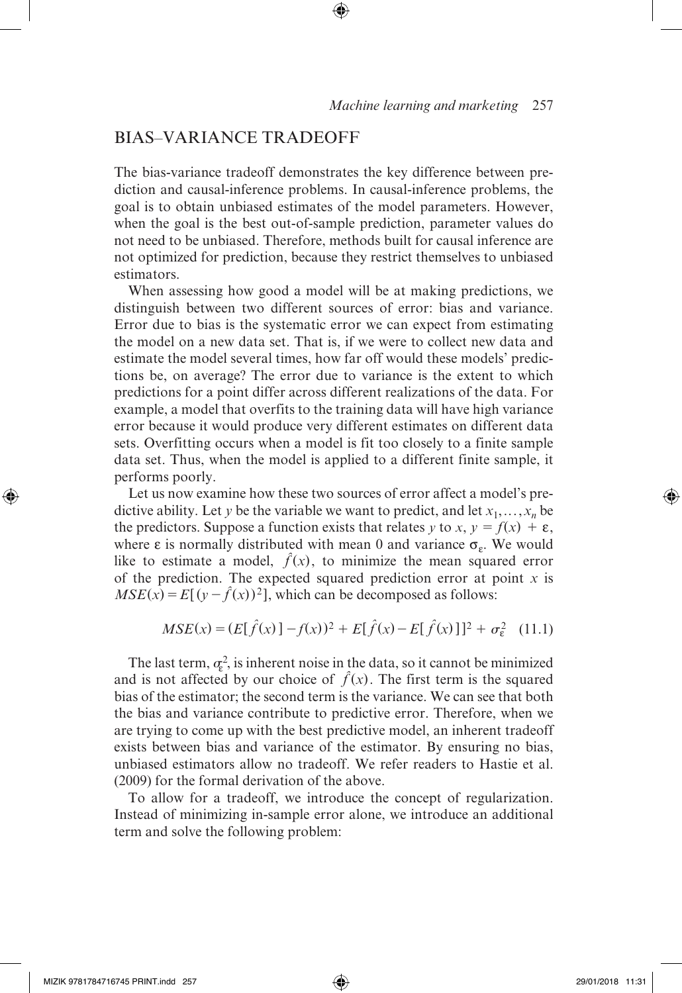# Bias–Variance Tradeoff

The bias-variance tradeoff demonstrates the key difference between prediction and causal-inference problems. In causal-inference problems, the goal is to obtain unbiased estimates of the model parameters. However, when the goal is the best out-of-sample prediction, parameter values do not need to be unbiased. Therefore, methods built for causal inference are not optimized for prediction, because they restrict themselves to unbiased estimators.

⊕

When assessing how good a model will be at making predictions, we distinguish between two different sources of error: bias and variance. Error due to bias is the systematic error we can expect from estimating the model on a new data set. That is, if we were to collect new data and estimate the model several times, how far off would these models' predictions be, on average? The error due to variance is the extent to which predictions for a point differ across different realizations of the data. For example, a model that overfits to the training data will have high variance error because it would produce very different estimates on different data sets. Overfitting occurs when a model is fit too closely to a finite sample data set. Thus, when the model is applied to a different finite sample, it performs poorly.

Let us now examine how these two sources of error affect a model's predictive ability. Let *y* be the variable we want to predict, and let  $x_1, \ldots, x_n$  be the predictors. Suppose a function exists that relates *y* to *x*,  $y = f(x) + \varepsilon$ , where  $\varepsilon$  is normally distributed with mean 0 and variance  $\sigma_{\varepsilon}$ . We would like to estimate a model,  $\hat{f}(x)$ , to minimize the mean squared error of the prediction. The expected squared prediction error at point *x* is  $MSE(x) = E[(y - \hat{f}(x))^2]$ , which can be decomposed as follows:

$$
MSE(x) = (E[\hat{f}(x)] - f(x))^2 + E[\hat{f}(x) - E[\hat{f}(x)]]^2 + \sigma_{\varepsilon}^2
$$
 (11.1)

The last term,  $\sigma_{\rm e}^2$ , is inherent noise in the data, so it cannot be minimized and is not affected by our choice of  $\hat{f}(x)$ . The first term is the squared bias of the estimator; the second term is the variance. We can see that both the bias and variance contribute to predictive error. Therefore, when we are trying to come up with the best predictive model, an inherent tradeoff exists between bias and variance of the estimator. By ensuring no bias, unbiased estimators allow no tradeoff. We refer readers to Hastie et al. (2009) for the formal derivation of the above.

To allow for a tradeoff, we introduce the concept of regularization. Instead of minimizing in-sample error alone, we introduce an additional term and solve the following problem:

⊕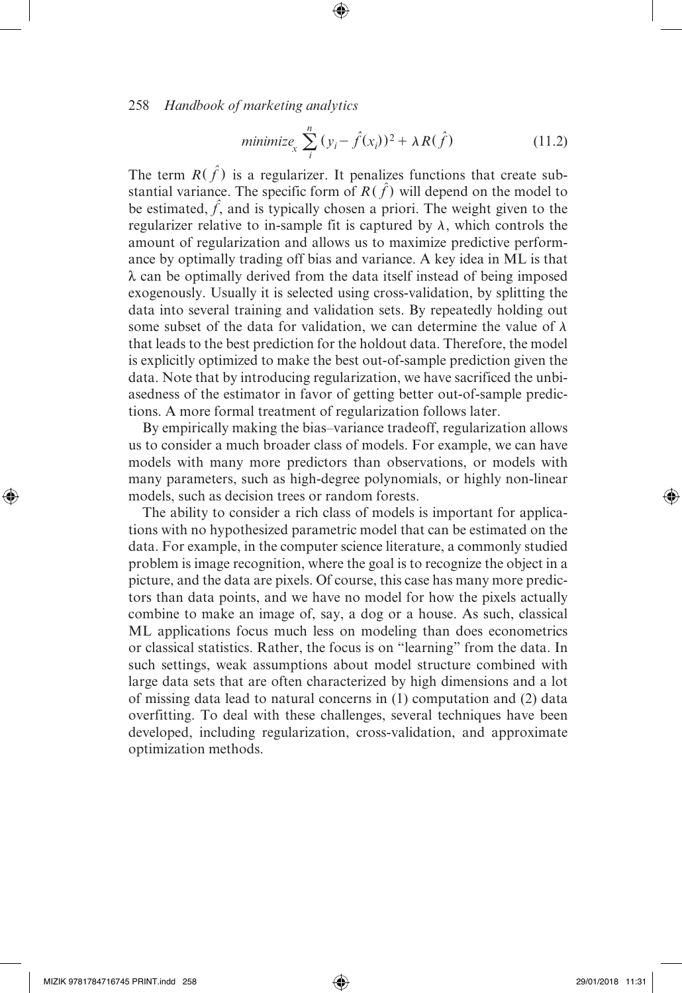$$
minimize_{x} \sum_{i}^{n} (y_i - \hat{f}(x_i))^2 + \lambda R(\hat{f})
$$
\n(11.2)

The term  $R(f)$  is a regularizer. It penalizes functions that create substantial variance. The specific form of  $R(f)$  will depend on the model to be estimated,  $\hat{f}$ , and is typically chosen a priori. The weight given to the regularizer relative to in-sample fit is captured by  $\lambda$ , which controls the amount of regularization and allows us to maximize predictive performance by optimally trading off bias and variance. A key idea in ML is that  $\lambda$  can be optimally derived from the data itself instead of being imposed exogenously. Usually it is selected using cross-validation, by splitting the data into several training and validation sets. By repeatedly holding out some subset of the data for validation, we can determine the value of  $\lambda$ that leads to the best prediction for the holdout data. Therefore, the model is explicitly optimized to make the best out-of-sample prediction given the data. Note that by introducing regularization, we have sacrificed the unbiasedness of the estimator in favor of getting better out-of-sample predictions. A more formal treatment of regularization follows later.

⊕

By empirically making the bias–variance tradeoff, regularization allows us to consider a much broader class of models. For example, we can have models with many more predictors than observations, or models with many parameters, such as high-degree polynomials, or highly non-linear models, such as decision trees or random forests.

The ability to consider a rich class of models is important for applications with no hypothesized parametric model that can be estimated on the data. For example, in the computer science literature, a commonly studied problem is image recognition, where the goal is to recognize the object in a picture, and the data are pixels. Of course, this case has many more predictors than data points, and we have no model for how the pixels actually combine to make an image of, say, a dog or a house. As such, classical ML applications focus much less on modeling than does econometrics or classical statistics. Rather, the focus is on "learning" from the data. In such settings, weak assumptions about model structure combined with large data sets that are often characterized by high dimensions and a lot of missing data lead to natural concerns in (1) computation and (2) data overfitting. To deal with these challenges, several techniques have been developed, including regularization, cross-validation, and approximate optimization methods.

⊕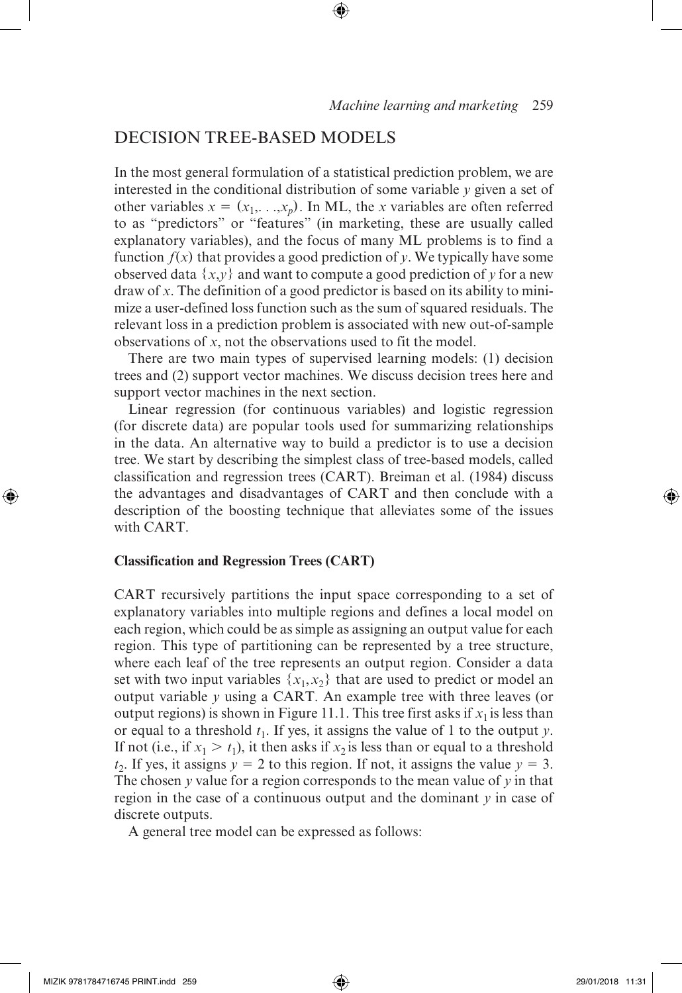# Decision Tree-based Models

In the most general formulation of a statistical prediction problem, we are interested in the conditional distribution of some variable *y* given a set of other variables  $x = (x_1, \ldots, x_n)$ . In ML, the *x* variables are often referred to as "predictors" or "features" (in marketing, these are usually called explanatory variables), and the focus of many ML problems is to find a function  $f(x)$  that provides a good prediction of *y*. We typically have some observed data  $\{x,y\}$  and want to compute a good prediction of *y* for a new draw of *x*. The definition of a good predictor is based on its ability to minimize a user-defined loss function such as the sum of squared residuals. The relevant loss in a prediction problem is associated with new out-of-sample observations of *x*, not the observations used to fit the model.

⊕

There are two main types of supervised learning models: (1) decision trees and (2) support vector machines. We discuss decision trees here and support vector machines in the next section.

Linear regression (for continuous variables) and logistic regression (for discrete data) are popular tools used for summarizing relationships in the data. An alternative way to build a predictor is to use a decision tree. We start by describing the simplest class of tree-based models, called classification and regression trees (CART). Breiman et al. (1984) discuss the advantages and disadvantages of CART and then conclude with a description of the boosting technique that alleviates some of the issues with CART.

#### **Classification and Regression Trees (CART)**

CART recursively partitions the input space corresponding to a set of explanatory variables into multiple regions and defines a local model on each region, which could be as simple as assigning an output value for each region. This type of partitioning can be represented by a tree structure, where each leaf of the tree represents an output region. Consider a data set with two input variables  $\{x_1, x_2\}$  that are used to predict or model an output variable *y* using a CART. An example tree with three leaves (or output regions) is shown in Figure 11.1. This tree first asks if  $x_1$  is less than or equal to a threshold  $t_1$ . If yes, it assigns the value of 1 to the output *y*. If not (i.e., if  $x_1 > t_1$ ), it then asks if  $x_2$  is less than or equal to a threshold  $t_2$ . If yes, it assigns  $y = 2$  to this region. If not, it assigns the value  $y = 3$ . The chosen *y* value for a region corresponds to the mean value of *y* in that region in the case of a continuous output and the dominant *y* in case of discrete outputs.

A general tree model can be expressed as follows:

⊕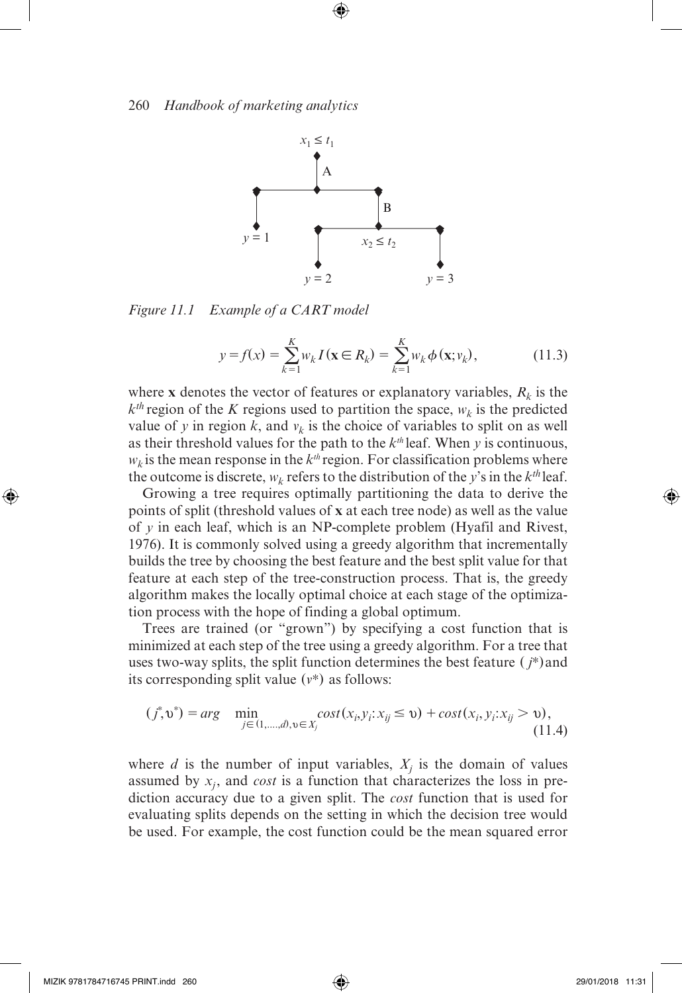

⊕

*Figure 11.1 Example of a CART model*

$$
y = f(x) = \sum_{k=1}^{K} w_k I(\mathbf{x} \in R_k) = \sum_{k=1}^{K} w_k \phi(\mathbf{x}; v_k),
$$
 (11.3)

where **x** denotes the vector of features or explanatory variables,  $R_k$  is the  $k<sup>th</sup>$  region of the *K* regions used to partition the space,  $w_k$  is the predicted value of *y* in region *k*, and  $v_k$  is the choice of variables to split on as well as their threshold values for the path to the  $k<sup>th</sup>$  leaf. When  $y$  is continuous,  $w_k$  is the mean response in the  $k^{th}$  region. For classification problems where the outcome is discrete,  $w_k$  refers to the distribution of the *y*'s in the  $k^{th}$  leaf.

Growing a tree requires optimally partitioning the data to derive the points of split (threshold values of **x** at each tree node) as well as the value of *y* in each leaf, which is an NP-complete problem (Hyafil and Rivest, 1976). It is commonly solved using a greedy algorithm that incrementally builds the tree by choosing the best feature and the best split value for that feature at each step of the tree-construction process. That is, the greedy algorithm makes the locally optimal choice at each stage of the optimization process with the hope of finding a global optimum.

Trees are trained (or "grown") by specifying a cost function that is minimized at each step of the tree using a greedy algorithm. For a tree that uses two-way splits, the split function determines the best feature ( *j*\*)and its corresponding split value (*v*\*) as follows:

$$
(j^*\!,\mathbf{v}^*) = \arg\min_{j\in(1,\ldots,d),\mathbf{v}\in X_j} cost(x_i,y_i;x_{ij}\leq \mathbf{v}) + cost(x_i,y_i;x_{ij} > \mathbf{v}),\tag{11.4}
$$

where  $d$  is the number of input variables,  $X_j$  is the domain of values assumed by  $x_i$ , and *cost* is a function that characterizes the loss in prediction accuracy due to a given split. The *cost* function that is used for evaluating splits depends on the setting in which the decision tree would be used. For example, the cost function could be the mean squared error

⊕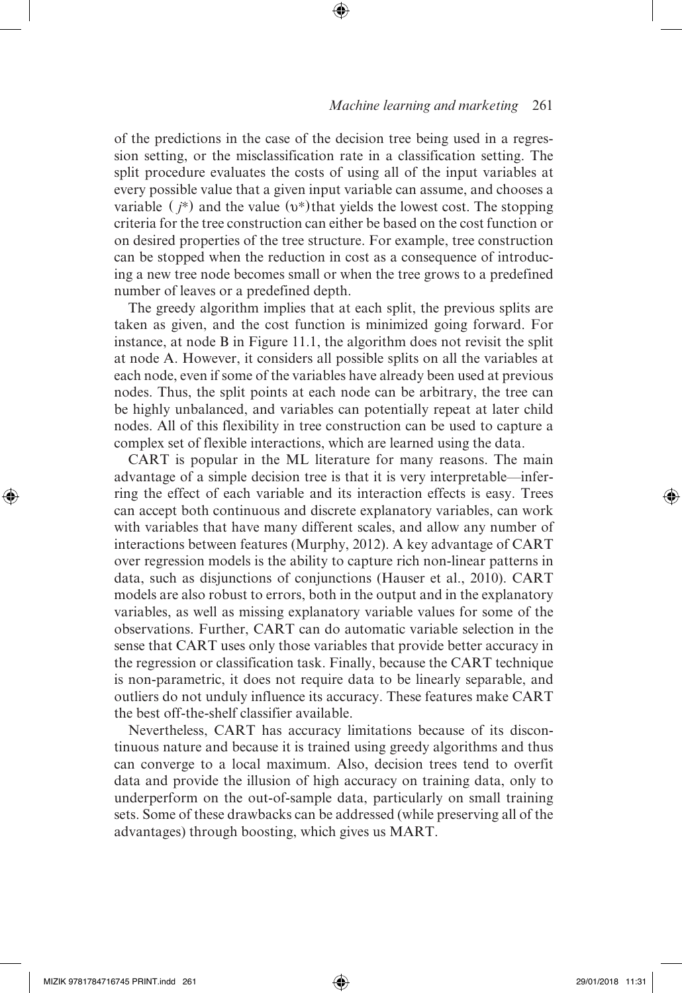## *Machine learning and marketing* 261

of the predictions in the case of the decision tree being used in a regression setting, or the misclassification rate in a classification setting. The split procedure evaluates the costs of using all of the input variables at every possible value that a given input variable can assume, and chooses a variable  $(j^*)$  and the value  $(v^*)$  that yields the lowest cost. The stopping criteria for the tree construction can either be based on the cost function or on desired properties of the tree structure. For example, tree construction can be stopped when the reduction in cost as a consequence of introducing a new tree node becomes small or when the tree grows to a predefined number of leaves or a predefined depth.

⊕

The greedy algorithm implies that at each split, the previous splits are taken as given, and the cost function is minimized going forward. For instance, at node B in Figure 11.1, the algorithm does not revisit the split at node A. However, it considers all possible splits on all the variables at each node, even if some of the variables have already been used at previous nodes. Thus, the split points at each node can be arbitrary, the tree can be highly unbalanced, and variables can potentially repeat at later child nodes. All of this flexibility in tree construction can be used to capture a complex set of flexible interactions, which are learned using the data.

CART is popular in the ML literature for many reasons. The main advantage of a simple decision tree is that it is very interpretable—inferring the effect of each variable and its interaction effects is easy. Trees can accept both continuous and discrete explanatory variables, can work with variables that have many different scales, and allow any number of interactions between features (Murphy, 2012). A key advantage of CART over regression models is the ability to capture rich non-linear patterns in data, such as disjunctions of conjunctions (Hauser et al., 2010). CART models are also robust to errors, both in the output and in the explanatory variables, as well as missing explanatory variable values for some of the observations. Further, CART can do automatic variable selection in the sense that CART uses only those variables that provide better accuracy in the regression or classification task. Finally, because the CART technique is non-parametric, it does not require data to be linearly separable, and outliers do not unduly influence its accuracy. These features make CART the best off-the-shelf classifier available.

Nevertheless, CART has accuracy limitations because of its discontinuous nature and because it is trained using greedy algorithms and thus can converge to a local maximum. Also, decision trees tend to overfit data and provide the illusion of high accuracy on training data, only to underperform on the out-of-sample data, particularly on small training sets. Some of these drawbacks can be addressed (while preserving all of the advantages) through boosting, which gives us MART.

⊕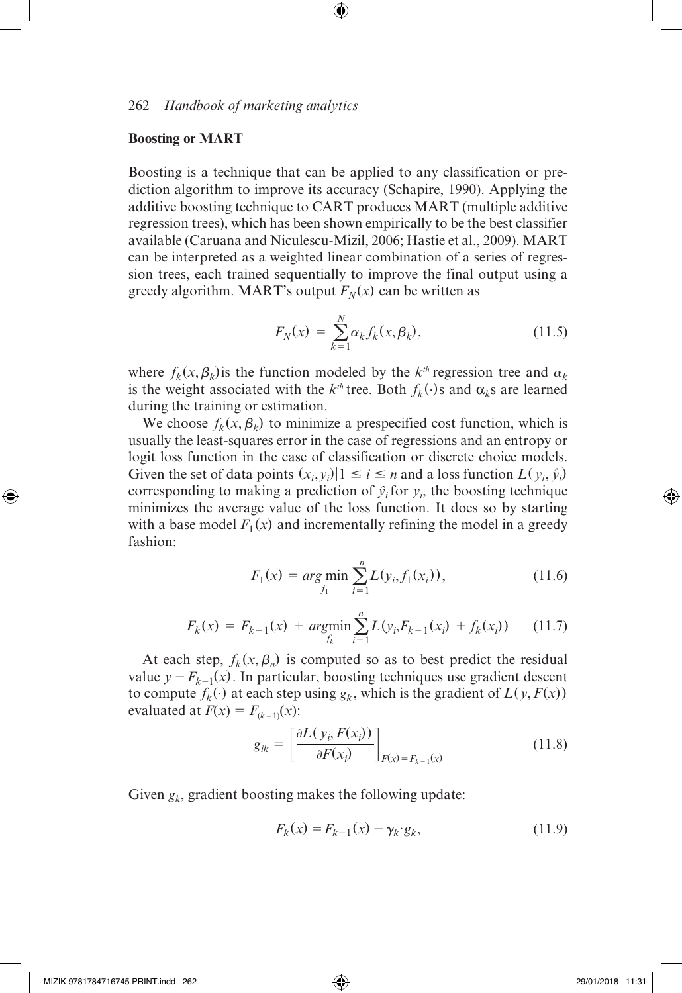#### **Boosting or MART**

Boosting is a technique that can be applied to any classification or prediction algorithm to improve its accuracy (Schapire, 1990). Applying the additive boosting technique to CART produces MART (multiple additive regression trees), which has been shown empirically to be the best classifier available (Caruana and Niculescu-Mizil, 2006; Hastie et al., 2009). MART can be interpreted as a weighted linear combination of a series of regression trees, each trained sequentially to improve the final output using a greedy algorithm. MART's output  $F_N(x)$  can be written as

⊕

$$
F_N(x) = \sum_{k=1}^{N} \alpha_k f_k(x, \beta_k),
$$
 (11.5)

where  $f_k(x, \beta_k)$  is the function modeled by the  $k^{th}$  regression tree and  $\alpha_k$ is the weight associated with the  $k^{th}$  tree. Both  $f_k(\cdot)$ s and  $\alpha_k$ s are learned during the training or estimation.

We choose  $f_k(x, \beta_k)$  to minimize a prespecified cost function, which is usually the least-squares error in the case of regressions and an entropy or logit loss function in the case of classification or discrete choice models. Given the set of data points  $(x_i, y_i) | 1 \le i \le n$  and a loss function  $L(y_i, \hat{y}_i)$ corresponding to making a prediction of  $\hat{y}_i$  for  $y_i$ , the boosting technique minimizes the average value of the loss function. It does so by starting with a base model  $F_1(x)$  and incrementally refining the model in a greedy fashion:

$$
F_1(x) = \arg\min_{f_1} \sum_{i=1}^n L(y_i, f_1(x_i)),
$$
\n(11.6)

$$
F_k(x) = F_{k-1}(x) + \underset{f_k}{\text{argmin}} \sum_{i=1}^n L(y_i, F_{k-1}(x_i) + f_k(x_i)) \tag{11.7}
$$

At each step,  $f_k(x, \beta_n)$  is computed so as to best predict the residual value  $y - F_{k-1}(x)$ . In particular, boosting techniques use gradient descent to compute  $f_k(\cdot)$  at each step using  $g_k$ , which is the gradient of  $L(y, F(x))$ evaluated at  $F(x) = F_{(k-1)}(x)$ :

$$
g_{ik} = \left[\frac{\partial L(y_i, F(x_i))}{\partial F(x_i)}\right]_{F(x) = F_{k-1}(x)}
$$
(11.8)

Given  $g_k$ , gradient boosting makes the following update:

$$
F_k(x) = F_{k-1}(x) - \gamma_k \cdot g_k, \tag{11.9}
$$

⊕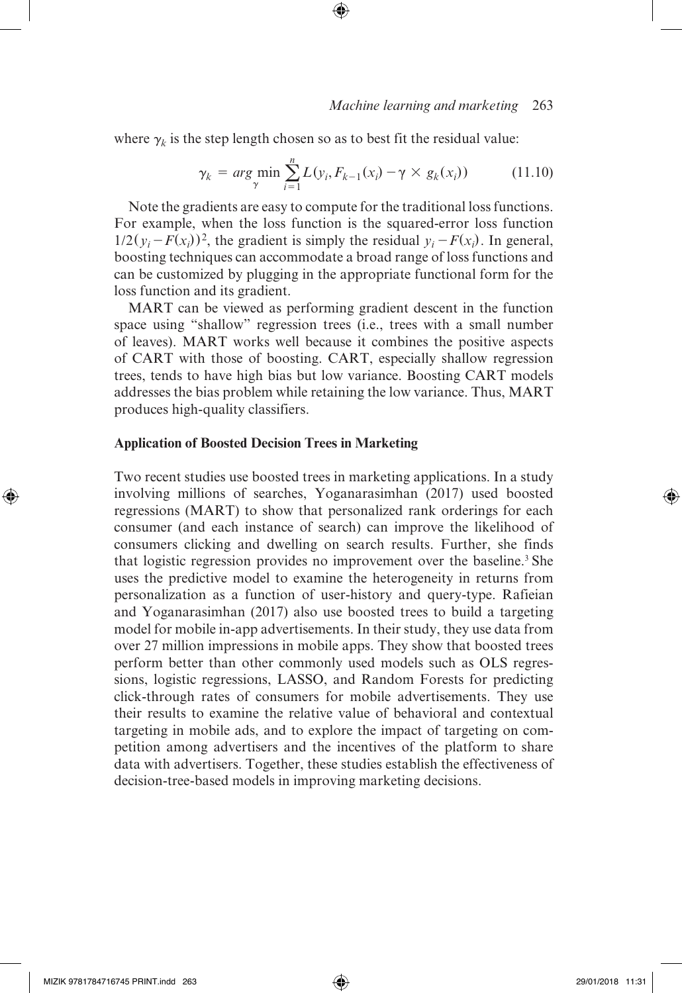where  $\gamma_k$  is the step length chosen so as to best fit the residual value:

⊕

$$
\gamma_k = \arg\min_{\gamma} \sum_{i=1}^n L(y_i, F_{k-1}(x_i) - \gamma \times g_k(x_i)) \tag{11.10}
$$

Note the gradients are easy to compute for the traditional loss functions. For example, when the loss function is the squared-error loss function  $1/2(y_i - F(x_i))^2$ , the gradient is simply the residual  $y_i - F(x_i)$ . In general, boosting techniques can accommodate a broad range of loss functions and can be customized by plugging in the appropriate functional form for the loss function and its gradient.

MART can be viewed as performing gradient descent in the function space using "shallow" regression trees (i.e., trees with a small number of leaves). MART works well because it combines the positive aspects of CART with those of boosting. CART, especially shallow regression trees, tends to have high bias but low variance. Boosting CART models addresses the bias problem while retaining the low variance. Thus, MART produces high-quality classifiers.

#### **Application of Boosted Decision Trees in Marketing**

Two recent studies use boosted trees in marketing applications. In a study involving millions of searches, Yoganarasimhan (2017) used boosted regressions (MART) to show that personalized rank orderings for each consumer (and each instance of search) can improve the likelihood of consumers clicking and dwelling on search results. Further, she finds that logistic regression provides no improvement over the baseline.<sup>3</sup> She uses the predictive model to examine the heterogeneity in returns from personalization as a function of user-history and query-type. Rafieian and Yoganarasimhan (2017) also use boosted trees to build a targeting model for mobile in-app advertisements. In their study, they use data from over 27 million impressions in mobile apps. They show that boosted trees perform better than other commonly used models such as OLS regressions, logistic regressions, LASSO, and Random Forests for predicting click-through rates of consumers for mobile advertisements. They use their results to examine the relative value of behavioral and contextual targeting in mobile ads, and to explore the impact of targeting on competition among advertisers and the incentives of the platform to share data with advertisers. Together, these studies establish the effectiveness of decision-tree-based models in improving marketing decisions.

⊕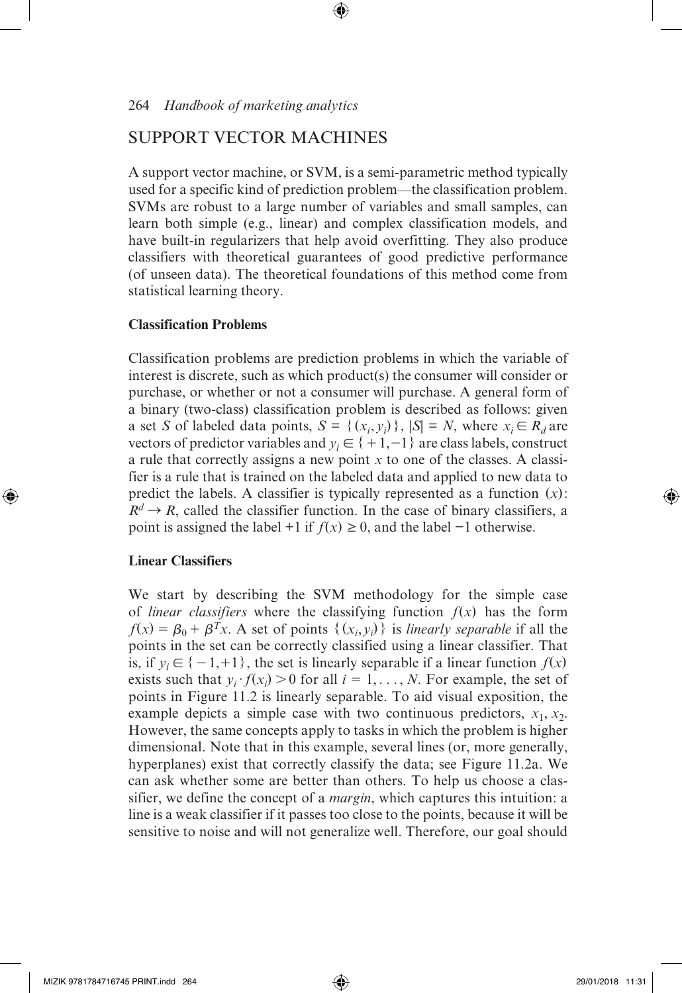# Support Vector Machines

A support vector machine, or SVM, is a semi-parametric method typically used for a specific kind of prediction problem—the classification problem. SVMs are robust to a large number of variables and small samples, can learn both simple (e.g., linear) and complex classification models, and have built-in regularizers that help avoid overfitting. They also produce classifiers with theoretical guarantees of good predictive performance (of unseen data). The theoretical foundations of this method come from statistical learning theory.

⊕

#### **Classification Problems**

Classification problems are prediction problems in which the variable of interest is discrete, such as which product(s) the consumer will consider or purchase, or whether or not a consumer will purchase. A general form of a binary (two-class) classification problem is described as follows: given a set *S* of labeled data points,  $S = \{(x_i, y_i)\}\,$ ,  $|S| = N$ , where  $x_i \in R_d$  are vectors of predictor variables and  $y_i \in \{ +1, -1 \}$  are class labels, construct a rule that correctly assigns a new point *x* to one of the classes. A classifier is a rule that is trained on the labeled data and applied to new data to predict the labels. A classifier is typically represented as a function (*x*):  $R^d \rightarrow R$ , called the classifier function. In the case of binary classifiers, a point is assigned the label +1 if  $f(x) \ge 0$ , and the label -1 otherwise.

#### **Linear Classifiers**

⊕

We start by describing the SVM methodology for the simple case of *linear classifiers* where the classifying function  $f(x)$  has the form  $f(x) = \beta_0 + \beta^T x$ . A set of points  $\{(x_i, y_i)\}\$ is *linearly separable* if all the points in the set can be correctly classified using a linear classifier. That is, if  $y_i \in \{-1,+1\}$ , the set is linearly separable if a linear function  $f(x)$ exists such that  $y_i \cdot f(x_i) > 0$  for all  $i = 1, ..., N$ . For example, the set of points in Figure 11.2 is linearly separable. To aid visual exposition, the example depicts a simple case with two continuous predictors,  $x_1, x_2$ . However, the same concepts apply to tasks in which the problem is higher dimensional. Note that in this example, several lines (or, more generally, hyperplanes) exist that correctly classify the data; see Figure 11.2a. We can ask whether some are better than others. To help us choose a classifier, we define the concept of a *margin*, which captures this intuition: a line is a weak classifier if it passes too close to the points, because it will be sensitive to noise and will not generalize well. Therefore, our goal should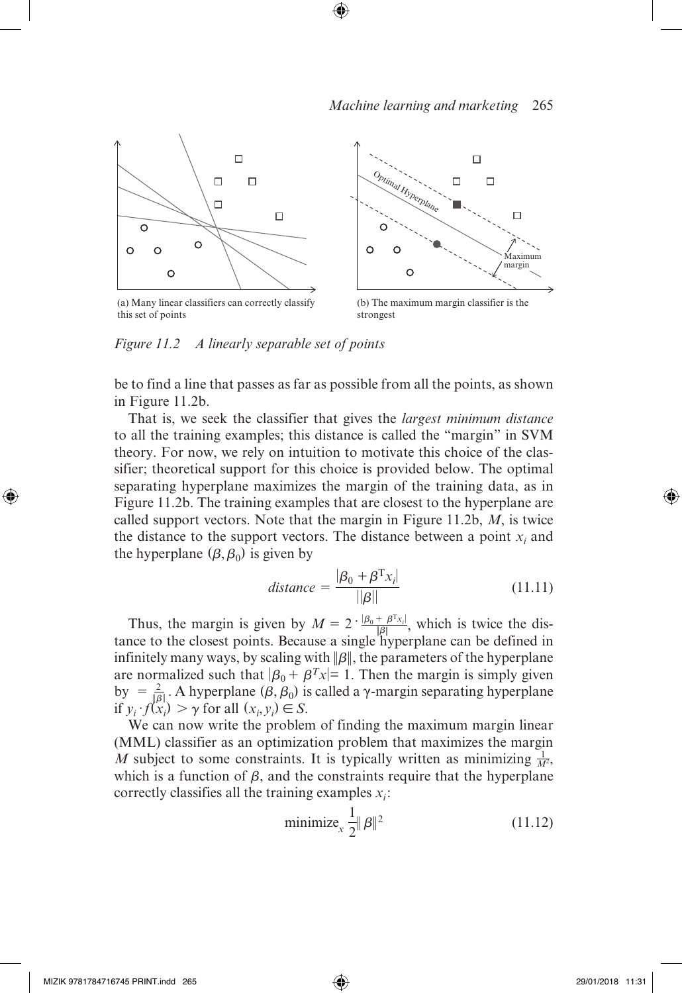

 $\bigoplus$ 

*Figure 11.2 A linearly separable set of points*

be to find a line that passes as far as possible from all the points, as shown in Figure 11.2b.

That is, we seek the classifier that gives the *largest minimum distance*  to all the training examples; this distance is called the "margin" in SVM theory. For now, we rely on intuition to motivate this choice of the classifier; theoretical support for this choice is provided below. The optimal separating hyperplane maximizes the margin of the training data, as in Figure 11.2b. The training examples that are closest to the hyperplane are called support vectors. Note that the margin in Figure 11.2b, *M*, is twice the distance to the support vectors. The distance between a point  $x_i$  and the hyperplane  $(\beta, \beta_0)$  is given by

$$
distance = \frac{|\beta_0 + \beta^{\mathrm{T}} x_i|}{||\beta||} \tag{11.11}
$$

Thus, the margin is given by  $M = 2 \cdot \frac{|\beta_0 + \beta^T x_i|}{|\beta|}$ , which is twice the distance to the closest points. Because a single hyperplane can be defined in infinitely many ways, by scaling with  $\|\beta\|$ , the parameters of the hyperplane are normalized such that  $|\beta_0 + \beta^T x| = 1$ . Then the margin is simply given by  $=$   $\frac{2}{\|\beta\|}$ . A hyperplane ( $\beta$ ,  $\beta_0$ ) is called a  $\gamma$ -margin separating hyperplane if  $y_i \cdot f(x_i) > \gamma$  for all  $(x_i, y_i) \in S$ .

We can now write the problem of finding the maximum margin linear (MML) classifier as an optimization problem that maximizes the margin *M* subject to some constraints. It is typically written as minimizing  $\frac{1}{M^2}$ , which is a function of  $\beta$ , and the constraints require that the hyperplane correctly classifies all the training examples  $x_i$ :

$$
\text{minimize}_{x} \frac{1}{2} ||\boldsymbol{\beta}||^2 \tag{11.12}
$$

⊕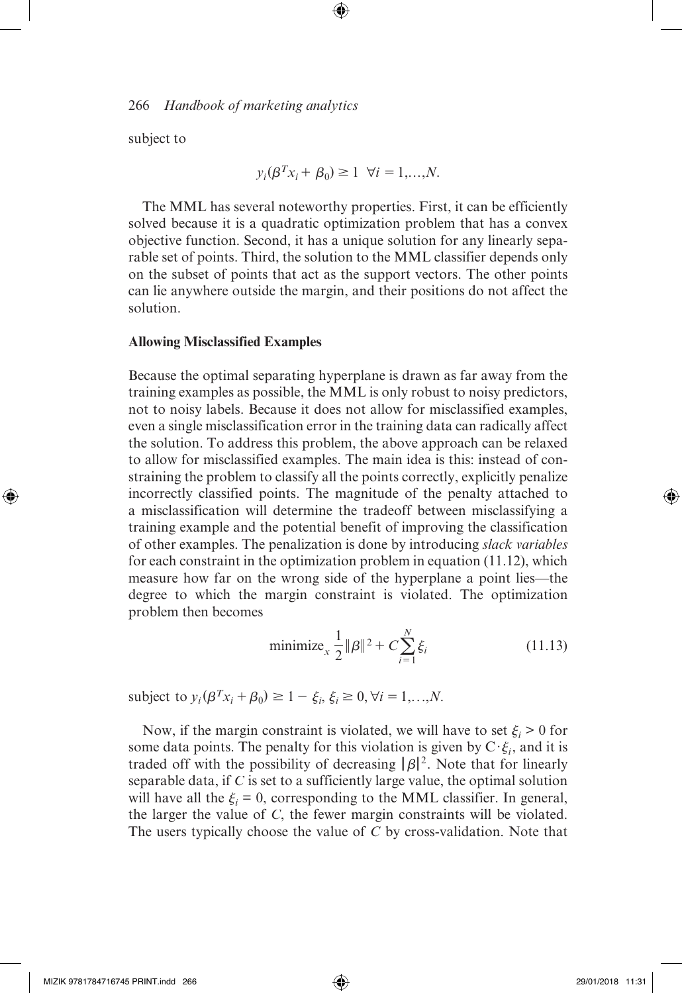subject to

$$
y_i(\beta^T x_i + \beta_0) \ge 1 \quad \forall i = 1,...,N.
$$

⊕

The MML has several noteworthy properties. First, it can be efficiently solved because it is a quadratic optimization problem that has a convex objective function. Second, it has a unique solution for any linearly separable set of points. Third, the solution to the MML classifier depends only on the subset of points that act as the support vectors. The other points can lie anywhere outside the margin, and their positions do not affect the solution.

#### **Allowing Misclassified Examples**

Because the optimal separating hyperplane is drawn as far away from the training examples as possible, the MML is only robust to noisy predictors, not to noisy labels. Because it does not allow for misclassified examples, even a single misclassification error in the training data can radically affect the solution. To address this problem, the above approach can be relaxed to allow for misclassified examples. The main idea is this: instead of constraining the problem to classify all the points correctly, explicitly penalize incorrectly classified points. The magnitude of the penalty attached to a misclassification will determine the tradeoff between misclassifying a training example and the potential benefit of improving the classification of other examples. The penalization is done by introducing *slack variables* for each constraint in the optimization problem in equation (11.12), which measure how far on the wrong side of the hyperplane a point lies—the degree to which the margin constraint is violated. The optimization problem then becomes

minimize<sub>x</sub> 
$$
\frac{1}{2} ||\beta||^2 + C \sum_{i=1}^{N} \xi_i
$$
 (11.13)

subject to  $y_i(\beta^T x_i + \beta_0) \ge 1 - \xi_i, \xi_i \ge 0, \forall i = 1,...,N$ .

Now, if the margin constraint is violated, we will have to set  $\xi_i > 0$  for some data points. The penalty for this violation is given by  $C \cdot \xi_i$ , and it is traded off with the possibility of decreasing  $\|\beta\|^2$ . Note that for linearly separable data, if *C* is set to a sufficiently large value, the optimal solution will have all the  $\xi$ <sup>*i*</sup> = 0, corresponding to the MML classifier. In general, the larger the value of *C*, the fewer margin constraints will be violated. The users typically choose the value of *C* by cross-validation. Note that

⊕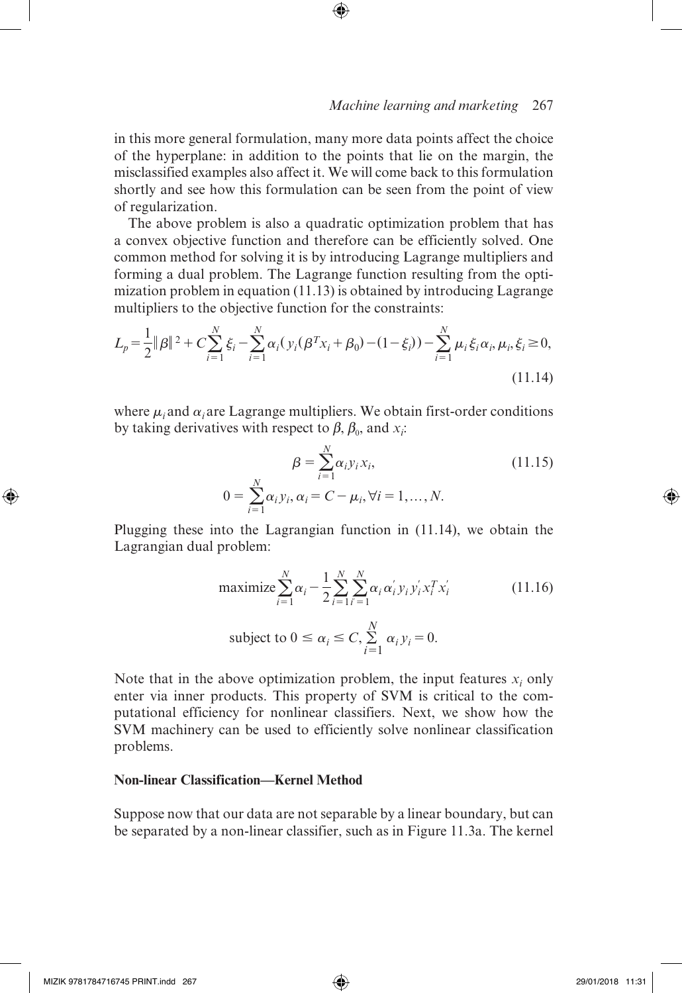in this more general formulation, many more data points affect the choice of the hyperplane: in addition to the points that lie on the margin, the misclassified examples also affect it. We will come back to this formulation shortly and see how this formulation can be seen from the point of view of regularization.

⊕

The above problem is also a quadratic optimization problem that has a convex objective function and therefore can be efficiently solved. One common method for solving it is by introducing Lagrange multipliers and forming a dual problem. The Lagrange function resulting from the optimization problem in equation (11.13) is obtained by introducing Lagrange multipliers to the objective function for the constraints:

$$
L_p = \frac{1}{2} ||\beta||^2 + C \sum_{i=1}^N \xi_i - \sum_{i=1}^N \alpha_i (y_i(\beta^T x_i + \beta_0) - (1 - \xi_i)) - \sum_{i=1}^N \mu_i \xi_i \alpha_i, \mu_i, \xi_i \ge 0,
$$
\n(11.14)

where  $\mu_i$  and  $\alpha_i$  are Lagrange multipliers. We obtain first-order conditions by taking derivatives with respect to  $\beta$ ,  $\beta_0$ , and  $x_i$ :

$$
\beta = \sum_{i=1}^{N} \alpha_i y_i x_i,
$$
\n
$$
0 = \sum_{i=1}^{N} \alpha_i y_i, \alpha_i = C - \mu_i, \forall i = 1, ..., N.
$$
\n(11.15)

Plugging these into the Lagrangian function in (11.14), we obtain the Lagrangian dual problem:

maximize 
$$
\sum_{i=1}^{N} \alpha_i - \frac{1}{2} \sum_{i=1}^{N} \sum_{i=1}^{N} \alpha_i \alpha'_i y_i y'_i x_i^T x'_i
$$
 (11.16)  
subject to  $0 \le \alpha_i \le C, \sum_{i=1}^{N} \alpha_i y_i = 0$ .

Note that in the above optimization problem, the input features  $x_i$  only enter via inner products. This property of SVM is critical to the computational efficiency for nonlinear classifiers. Next, we show how the SVM machinery can be used to efficiently solve nonlinear classification problems.

## **Non-linear Classification—Kernel Method**

Suppose now that our data are not separable by a linear boundary, but can be separated by a non-linear classifier, such as in Figure 11.3a. The kernel

⊕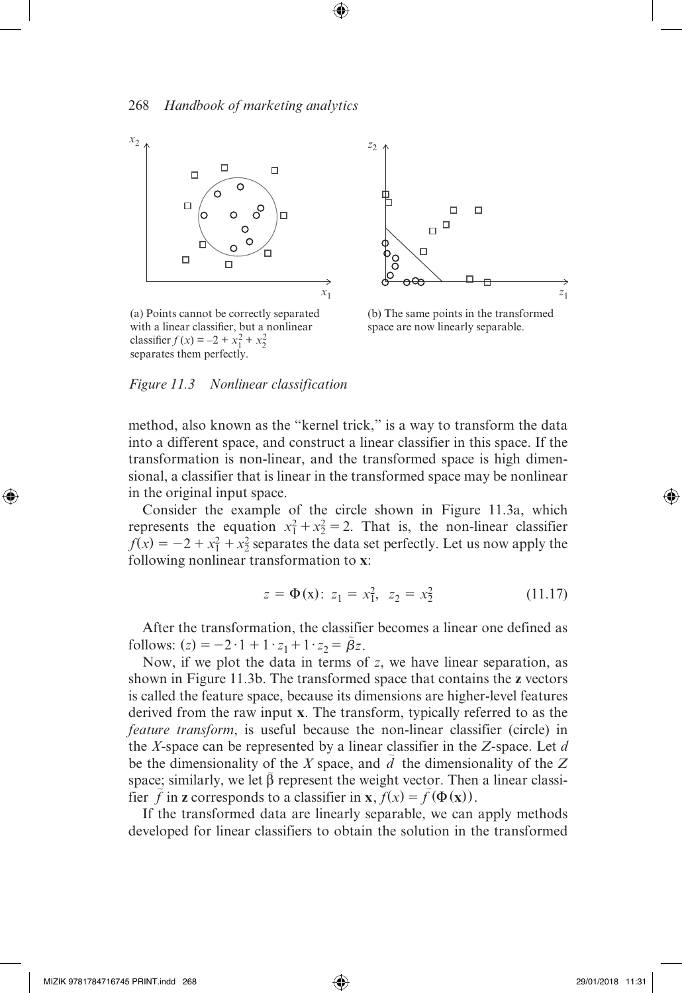

with a linear classifier, but a nonlinear classifier  $f(x) = -2 + x_1^2 + x_2^2$ separates them perfectly.



(b) The same points in the transformed space are now linearly separable.



method, also known as the "kernel trick," is a way to transform the data into a different space, and construct a linear classifier in this space. If the transformation is non-linear, and the transformed space is high dimensional, a classifier that is linear in the transformed space may be nonlinear in the original input space.

 $\bigoplus$ 

Consider the example of the circle shown in Figure 11.3a, which represents the equation  $x_1^2 + x_2^2 = 2$ . That is, the non-linear classifier  $f(x) = -2 + x_1^2 + x_2^2$  separates the data set perfectly. Let us now apply the following nonlinear transformation to **x**:

$$
z = \Phi(x): z_1 = x_1^2, \ z_2 = x_2^2 \tag{11.17}
$$

After the transformation, the classifier becomes a linear one defined as follows:  $(z) = -2 \cdot 1 + 1 \cdot z_1 + 1 \cdot z_2 = \tilde{\beta} z$ .

Now, if we plot the data in terms of *z*, we have linear separation, as shown in Figure 11.3b. The transformed space that contains the **z** vectors is called the feature space, because its dimensions are higher-level features derived from the raw input **x**. The transform, typically referred to as the *feature transform*, is useful because the non-linear classifier (circle) in the *X-*space can be represented by a linear classifier in the *Z-*space. Let *d*  be the dimensionality of the *X* space, and  $\tilde{d}$  the dimensionality of the *Z* space; similarly, we let  $\tilde{\beta}$  represent the weight vector. Then a linear classifier  $\tilde{f}$  in **z** corresponds to a classifier in **x**,  $f(x) = \tilde{f}(\Phi(x))$ .

If the transformed data are linearly separable, we can apply methods developed for linear classifiers to obtain the solution in the transformed

⊕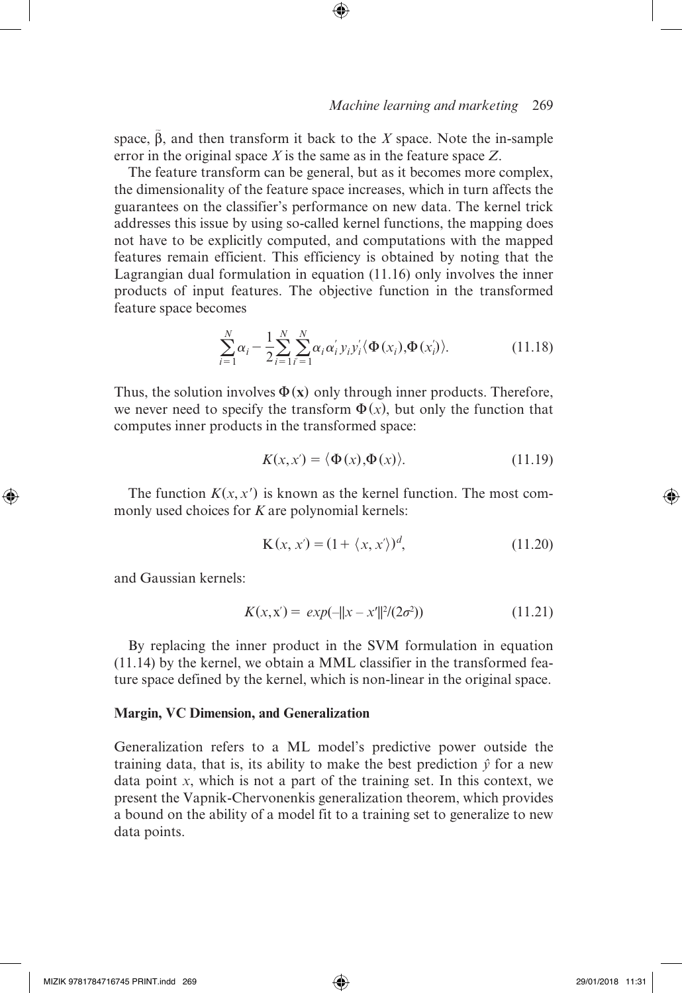space,  $\tilde{\beta}$ , and then transform it back to the *X* space. Note the in-sample error in the original space *X* is the same as in the feature space *Z*.

⊕

The feature transform can be general, but as it becomes more complex, the dimensionality of the feature space increases, which in turn affects the guarantees on the classifier's performance on new data. The kernel trick addresses this issue by using so-called kernel functions, the mapping does not have to be explicitly computed, and computations with the mapped features remain efficient. This efficiency is obtained by noting that the Lagrangian dual formulation in equation (11.16) only involves the inner products of input features. The objective function in the transformed feature space becomes

$$
\sum_{i=1}^{N} \alpha_i - \frac{1}{2} \sum_{i=1}^{N} \sum_{i=1}^{N} \alpha_i \alpha'_i y_i y'_i \langle \Phi(x_i), \Phi(x'_i) \rangle.
$$
 (11.18)

Thus, the solution involves  $\Phi(\mathbf{x})$  only through inner products. Therefore, we never need to specify the transform  $\Phi(x)$ , but only the function that computes inner products in the transformed space:

$$
K(x, x') = \langle \Phi(x), \Phi(x) \rangle. \tag{11.19}
$$

The function  $K(x, x')$  is known as the kernel function. The most commonly used choices for *K* are polynomial kernels:

$$
\mathbf{K}(x, x') = (1 + \langle x, x' \rangle)^d,\tag{11.20}
$$

and Gaussian kernels:

⊕

$$
K(x, x') = exp(-\|x - x'\|^2 / (2\sigma^2))
$$
\n(11.21)

By replacing the inner product in the SVM formulation in equation (11.14) by the kernel, we obtain a MML classifier in the transformed feature space defined by the kernel, which is non-linear in the original space.

#### **Margin, VC Dimension, and Generalization**

Generalization refers to a ML model's predictive power outside the training data, that is, its ability to make the best prediction  $\hat{y}$  for a new data point  $x$ , which is not a part of the training set. In this context, we present the Vapnik-Chervonenkis generalization theorem, which provides a bound on the ability of a model fit to a training set to generalize to new data points.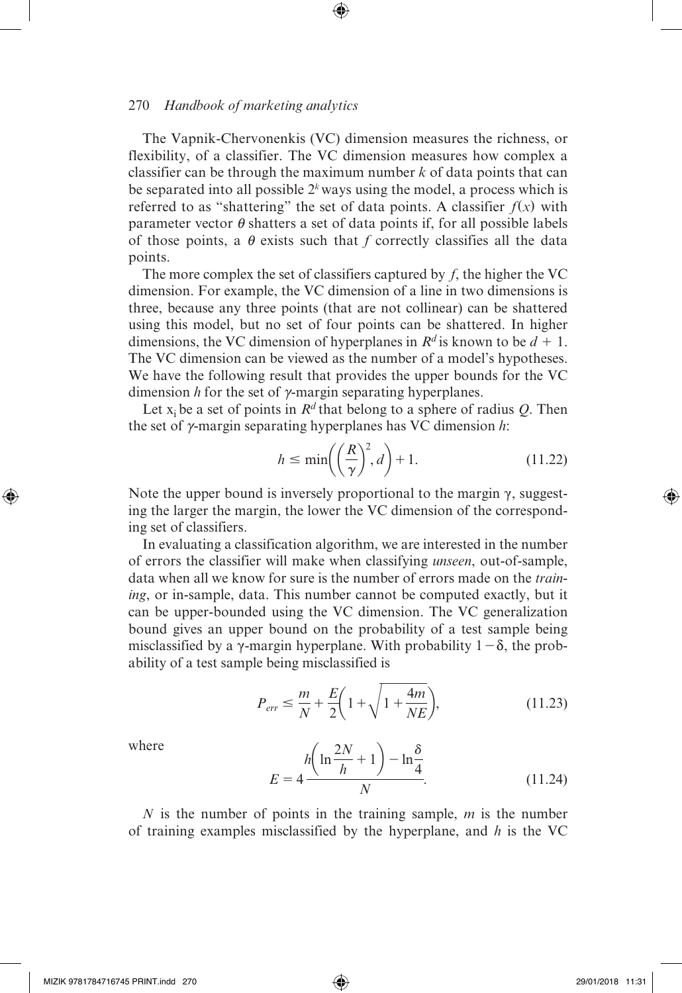The Vapnik-Chervonenkis (VC) dimension measures the richness, or flexibility, of a classifier. The VC dimension measures how complex a classifier can be through the maximum number *k* of data points that can be separated into all possible  $2<sup>k</sup>$  ways using the model, a process which is referred to as "shattering" the set of data points. A classifier  $f(x)$  with parameter vector  $\theta$  shatters a set of data points if, for all possible labels of those points, a  $\theta$  exists such that *f* correctly classifies all the data points.

⊕

The more complex the set of classifiers captured by *f*, the higher the VC dimension. For example, the VC dimension of a line in two dimensions is three, because any three points (that are not collinear) can be shattered using this model, but no set of four points can be shattered. In higher dimensions, the VC dimension of hyperplanes in  $R^d$  is known to be  $d + 1$ . The VC dimension can be viewed as the number of a model's hypotheses. We have the following result that provides the upper bounds for the VC dimension  $h$  for the set of  $\gamma$ -margin separating hyperplanes.

Let  $x_i$  be a set of points in  $R^d$  that belong to a sphere of radius O. Then the set of  $\gamma$ -margin separating hyperplanes has VC dimension  $h$ :

$$
h \le \min\left(\left(\frac{R}{\gamma}\right)^2, d\right) + 1. \tag{11.22}
$$

Note the upper bound is inversely proportional to the margin  $\gamma$ , suggesting the larger the margin, the lower the VC dimension of the corresponding set of classifiers.

In evaluating a classification algorithm, we are interested in the number of errors the classifier will make when classifying *unseen*, out-of-sample, data when all we know for sure is the number of errors made on the *training*, or in-sample, data. This number cannot be computed exactly, but it can be upper-bounded using the VC dimension. The VC generalization bound gives an upper bound on the probability of a test sample being misclassified by a y-margin hyperplane. With probability  $1-\delta$ , the probability of a test sample being misclassified is

$$
P_{err} \le \frac{m}{N} + \frac{E}{2} \bigg( 1 + \sqrt{1 + \frac{4m}{NE}} \bigg),
$$
 (11.23)

where

⊕

$$
E = 4 \frac{h\left(\ln \frac{2N}{h} + 1\right) - \ln \frac{\delta}{4}}{N}.
$$
 (11.24)

*N* is the number of points in the training sample, *m* is the number of training examples misclassified by the hyperplane, and *h* is the VC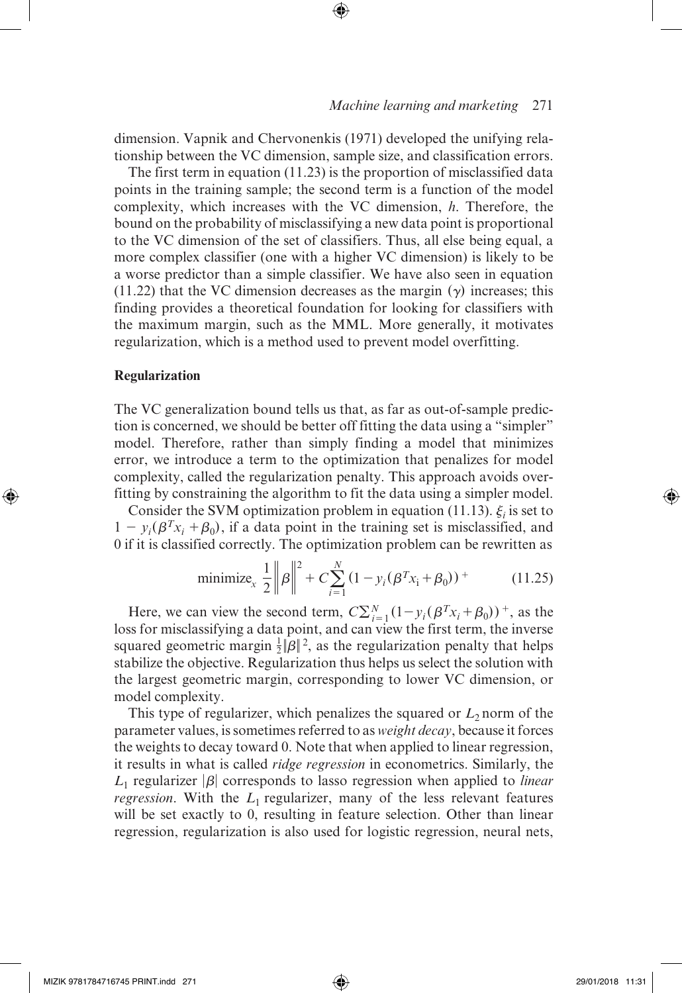dimension. Vapnik and Chervonenkis (1971) developed the unifying relationship between the VC dimension, sample size, and classification errors.

⊕

The first term in equation (11.23) is the proportion of misclassified data points in the training sample; the second term is a function of the model complexity, which increases with the VC dimension, *h*. Therefore, the bound on the probability of misclassifying a new data point is proportional to the VC dimension of the set of classifiers. Thus, all else being equal, a more complex classifier (one with a higher VC dimension) is likely to be a worse predictor than a simple classifier. We have also seen in equation (11.22) that the VC dimension decreases as the margin  $(y)$  increases; this finding provides a theoretical foundation for looking for classifiers with the maximum margin, such as the MML. More generally, it motivates regularization, which is a method used to prevent model overfitting.

#### **Regularization**

⊕

The VC generalization bound tells us that, as far as out-of-sample prediction is concerned, we should be better off fitting the data using a "simpler" model. Therefore, rather than simply finding a model that minimizes error, we introduce a term to the optimization that penalizes for model complexity, called the regularization penalty. This approach avoids overfitting by constraining the algorithm to fit the data using a simpler model.

Consider the SVM optimization problem in equation (11.13).  $\xi$ <sup>*i*</sup> is set to  $1 - y_i(\beta^T x_i + \beta_0)$ , if a data point in the training set is misclassified, and 0 if it is classified correctly. The optimization problem can be rewritten as

minimize<sub>x</sub> 
$$
\frac{1}{2} \|\beta\|^2 + C \sum_{i=1}^N (1 - y_i(\beta^T x_i + \beta_0))^+
$$
 (11.25)

Here, we can view the second term,  $C\Sigma_{i=1}^{N} (1 - y_i(\beta^T x_i + \beta_0))^+$ , as the loss for misclassifying a data point, and can view the first term, the inverse squared geometric margin  $\frac{1}{2}$ || $\beta$ ||<sup>2</sup>, as the regularization penalty that helps stabilize the objective. Regularization thus helps us select the solution with the largest geometric margin, corresponding to lower VC dimension, or model complexity.

This type of regularizer, which penalizes the squared or  $L_2$  norm of the parameter values, is sometimes referred to as *weight decay*, because it forces the weights to decay toward 0. Note that when applied to linear regression, it results in what is called *ridge regression* in econometrics. Similarly, the  $L_1$  regularizer  $|\beta|$  corresponds to lasso regression when applied to *linear regression*. With the  $L_1$  regularizer, many of the less relevant features will be set exactly to 0, resulting in feature selection. Other than linear regression, regularization is also used for logistic regression, neural nets,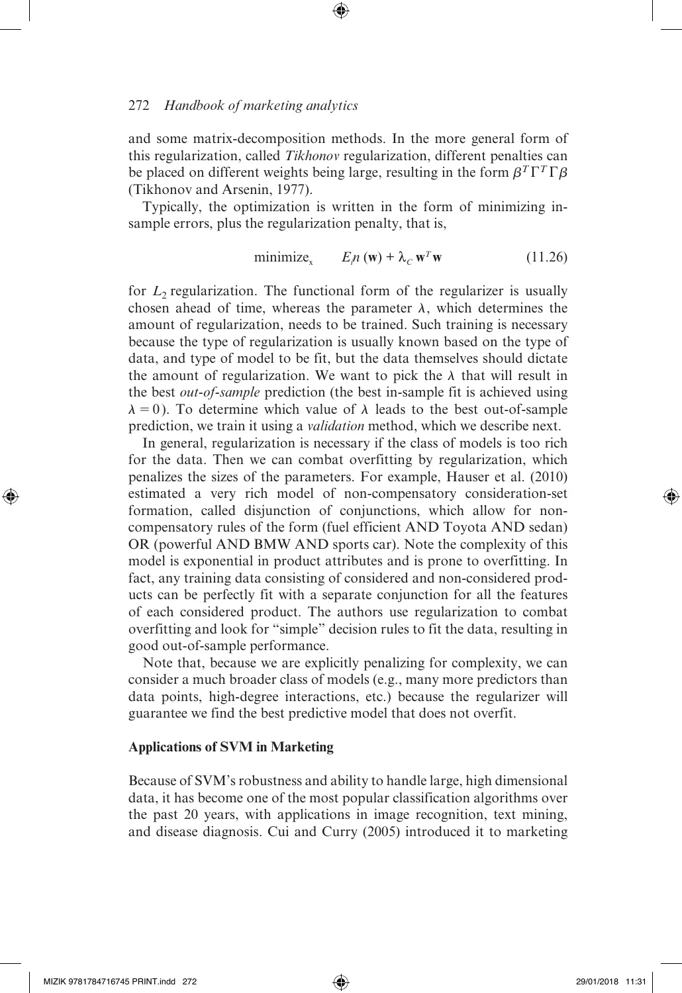and some matrix-decomposition methods. In the more general form of this regularization, called *Tikhonov* regularization, different penalties can be placed on different weights being large, resulting in the form  $\beta^T \Gamma^T \Gamma \beta$ (Tikhonov and Arsenin, 1977).

⊕

Typically, the optimization is written in the form of minimizing insample errors, plus the regularization penalty, that is,

$$
\text{minimize}_{\mathbf{x}} \qquad E_i n \left( \mathbf{w} \right) + \lambda_C \mathbf{w}^T \mathbf{w} \tag{11.26}
$$

for  $L<sub>2</sub>$  regularization. The functional form of the regularizer is usually chosen ahead of time, whereas the parameter  $\lambda$ , which determines the amount of regularization, needs to be trained. Such training is necessary because the type of regularization is usually known based on the type of data, and type of model to be fit, but the data themselves should dictate the amount of regularization. We want to pick the  $\lambda$  that will result in the best *out-of-sample* prediction (the best in-sample fit is achieved using  $\lambda = 0$ ). To determine which value of  $\lambda$  leads to the best out-of-sample prediction, we train it using a *validation* method, which we describe next.

In general, regularization is necessary if the class of models is too rich for the data. Then we can combat overfitting by regularization, which penalizes the sizes of the parameters. For example, Hauser et al. (2010) estimated a very rich model of non-compensatory consideration-set formation, called disjunction of conjunctions, which allow for noncompensatory rules of the form (fuel efficient AND Toyota AND sedan) OR (powerful AND BMW AND sports car). Note the complexity of this model is exponential in product attributes and is prone to overfitting. In fact, any training data consisting of considered and non-considered products can be perfectly fit with a separate conjunction for all the features of each considered product. The authors use regularization to combat overfitting and look for "simple" decision rules to fit the data, resulting in good out-of-sample performance.

Note that, because we are explicitly penalizing for complexity, we can consider a much broader class of models (e.g., many more predictors than data points, high-degree interactions, etc.) because the regularizer will guarantee we find the best predictive model that does not overfit.

## **Applications of SVM in Marketing**

Because of SVM's robustness and ability to handle large, high dimensional data, it has become one of the most popular classification algorithms over the past 20 years, with applications in image recognition, text mining, and disease diagnosis. Cui and Curry (2005) introduced it to marketing

⊕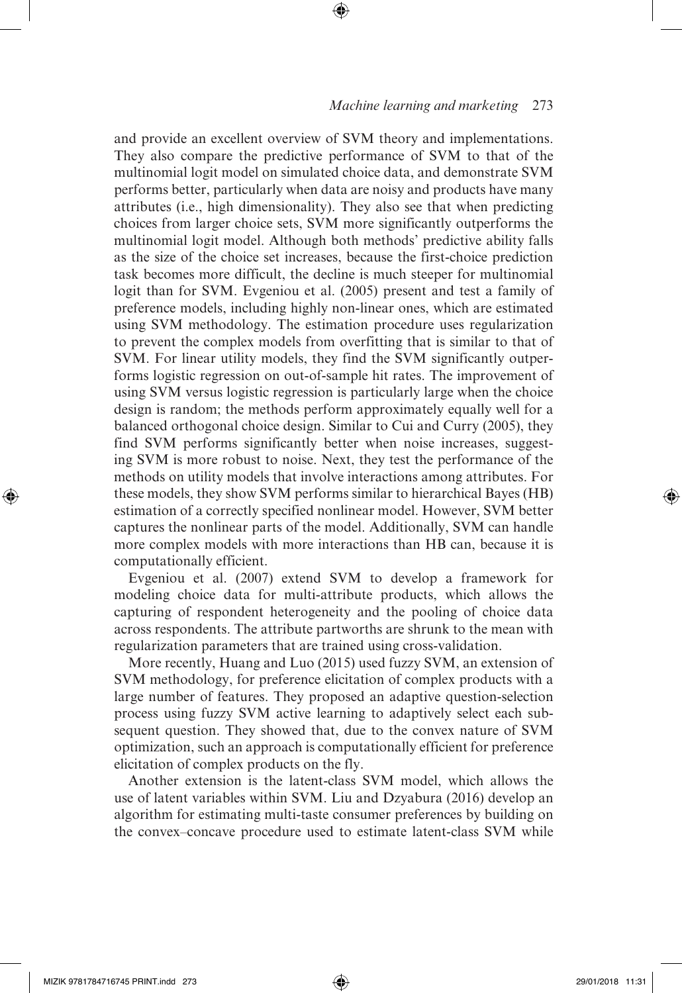and provide an excellent overview of SVM theory and implementations. They also compare the predictive performance of SVM to that of the multinomial logit model on simulated choice data, and demonstrate SVM performs better, particularly when data are noisy and products have many attributes (i.e., high dimensionality). They also see that when predicting choices from larger choice sets, SVM more significantly outperforms the multinomial logit model. Although both methods' predictive ability falls as the size of the choice set increases, because the first-choice prediction task becomes more difficult, the decline is much steeper for multinomial logit than for SVM. Evgeniou et al. (2005) present and test a family of preference models, including highly non-linear ones, which are estimated using SVM methodology. The estimation procedure uses regularization to prevent the complex models from overfitting that is similar to that of SVM. For linear utility models, they find the SVM significantly outperforms logistic regression on out-of-sample hit rates. The improvement of using SVM versus logistic regression is particularly large when the choice design is random; the methods perform approximately equally well for a balanced orthogonal choice design. Similar to Cui and Curry (2005), they find SVM performs significantly better when noise increases, suggesting SVM is more robust to noise. Next, they test the performance of the methods on utility models that involve interactions among attributes. For these models, they show SVM performs similar to hierarchical Bayes (HB) estimation of a correctly specified nonlinear model. However, SVM better captures the nonlinear parts of the model. Additionally, SVM can handle more complex models with more interactions than HB can, because it is computationally efficient.

⊕

Evgeniou et al. (2007) extend SVM to develop a framework for modeling choice data for multi-attribute products, which allows the capturing of respondent heterogeneity and the pooling of choice data across respondents. The attribute partworths are shrunk to the mean with regularization parameters that are trained using cross-validation.

More recently, Huang and Luo (2015) used fuzzy SVM, an extension of SVM methodology, for preference elicitation of complex products with a large number of features. They proposed an adaptive question-selection process using fuzzy SVM active learning to adaptively select each subsequent question. They showed that, due to the convex nature of SVM optimization, such an approach is computationally efficient for preference elicitation of complex products on the fly.

Another extension is the latent-class SVM model, which allows the use of latent variables within SVM. Liu and Dzyabura (2016) develop an algorithm for estimating multi-taste consumer preferences by building on the convex–concave procedure used to estimate latent-class SVM while

⊕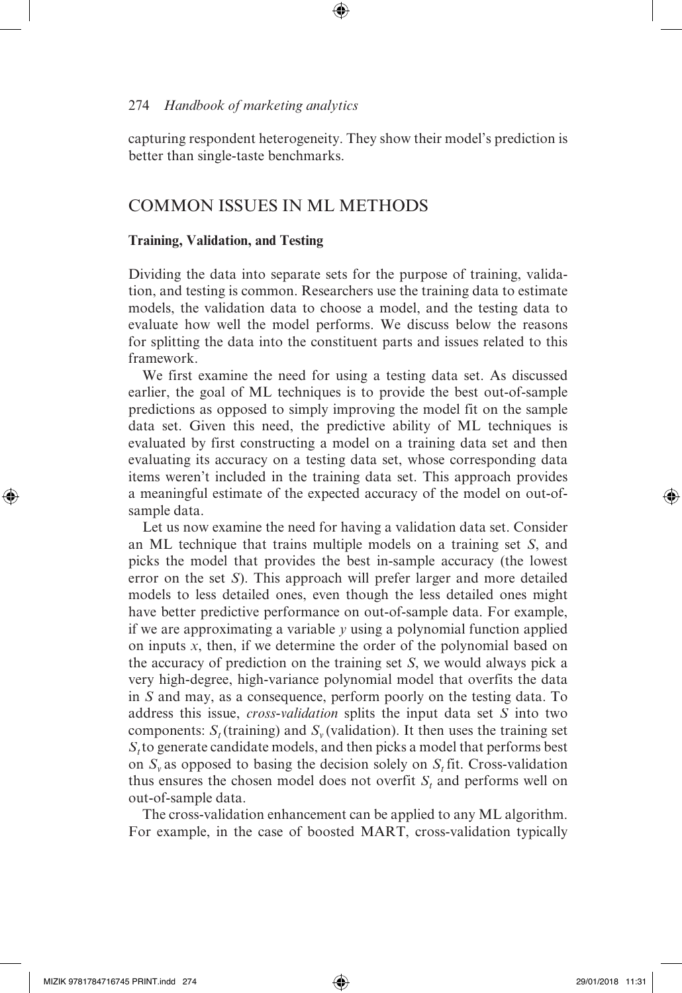capturing respondent heterogeneity. They show their model's prediction is better than single-taste benchmarks.

⊕

# Common Issues in ML Methods

#### **Training, Validation, and Testing**

Dividing the data into separate sets for the purpose of training, validation, and testing is common. Researchers use the training data to estimate models, the validation data to choose a model, and the testing data to evaluate how well the model performs. We discuss below the reasons for splitting the data into the constituent parts and issues related to this framework.

We first examine the need for using a testing data set. As discussed earlier, the goal of ML techniques is to provide the best out-of-sample predictions as opposed to simply improving the model fit on the sample data set. Given this need, the predictive ability of ML techniques is evaluated by first constructing a model on a training data set and then evaluating its accuracy on a testing data set, whose corresponding data items weren't included in the training data set. This approach provides a meaningful estimate of the expected accuracy of the model on out-ofsample data.

Let us now examine the need for having a validation data set. Consider an ML technique that trains multiple models on a training set *S*, and picks the model that provides the best in-sample accuracy (the lowest error on the set *S*). This approach will prefer larger and more detailed models to less detailed ones, even though the less detailed ones might have better predictive performance on out-of-sample data. For example, if we are approximating a variable *y* using a polynomial function applied on inputs *x*, then, if we determine the order of the polynomial based on the accuracy of prediction on the training set *S*, we would always pick a very high-degree, high-variance polynomial model that overfits the data in *S* and may, as a consequence, perform poorly on the testing data. To address this issue, *cross-validation* splits the input data set *S* into two components:  $S_t$  (training) and  $S_y$  (validation). It then uses the training set *St*to generate candidate models, and then picks a model that performs best on  $S<sub>v</sub>$  as opposed to basing the decision solely on  $S<sub>t</sub>$  fit. Cross-validation thus ensures the chosen model does not overfit  $S_t$  and performs well on out-of-sample data.

The cross-validation enhancement can be applied to any ML algorithm. For example, in the case of boosted MART, cross-validation typically

⊕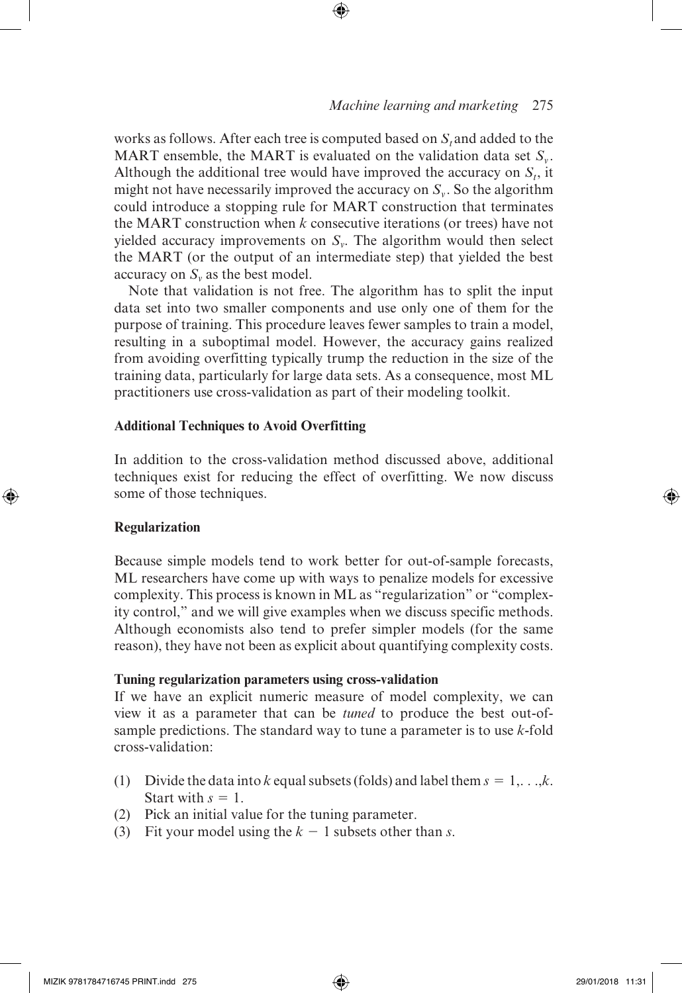works as follows. After each tree is computed based on  $S_t$  and added to the MART ensemble, the MART is evaluated on the validation data set  $S_v$ . Although the additional tree would have improved the accuracy on  $S_t$ , it might not have necessarily improved the accuracy on  $S_{\nu}$ . So the algorithm could introduce a stopping rule for MART construction that terminates the MART construction when *k* consecutive iterations (or trees) have not yielded accuracy improvements on  $S_{\nu}$ . The algorithm would then select the MART (or the output of an intermediate step) that yielded the best accuracy on  $S<sub>v</sub>$  as the best model.

⊕

Note that validation is not free. The algorithm has to split the input data set into two smaller components and use only one of them for the purpose of training. This procedure leaves fewer samples to train a model, resulting in a suboptimal model. However, the accuracy gains realized from avoiding overfitting typically trump the reduction in the size of the training data, particularly for large data sets. As a consequence, most ML practitioners use cross-validation as part of their modeling toolkit.

#### **Additional Techniques to Avoid Overfitting**

In addition to the cross-validation method discussed above, additional techniques exist for reducing the effect of overfitting. We now discuss some of those techniques.

#### **Regularization**

⊕

Because simple models tend to work better for out-of-sample forecasts, ML researchers have come up with ways to penalize models for excessive complexity. This process is known in ML as "regularization" or "complexity control," and we will give examples when we discuss specific methods. Although economists also tend to prefer simpler models (for the same reason), they have not been as explicit about quantifying complexity costs.

#### **Tuning regularization parameters using cross-validation**

If we have an explicit numeric measure of model complexity, we can view it as a parameter that can be *tuned* to produce the best out-ofsample predictions. The standard way to tune a parameter is to use *k*-fold cross-validation:

- (1) Divide the data into *k* equal subsets (folds) and label them  $s = 1, \ldots, k$ . Start with  $s = 1$ .
- (2) Pick an initial value for the tuning parameter.
- (3) Fit your model using the  $k 1$  subsets other than *s*.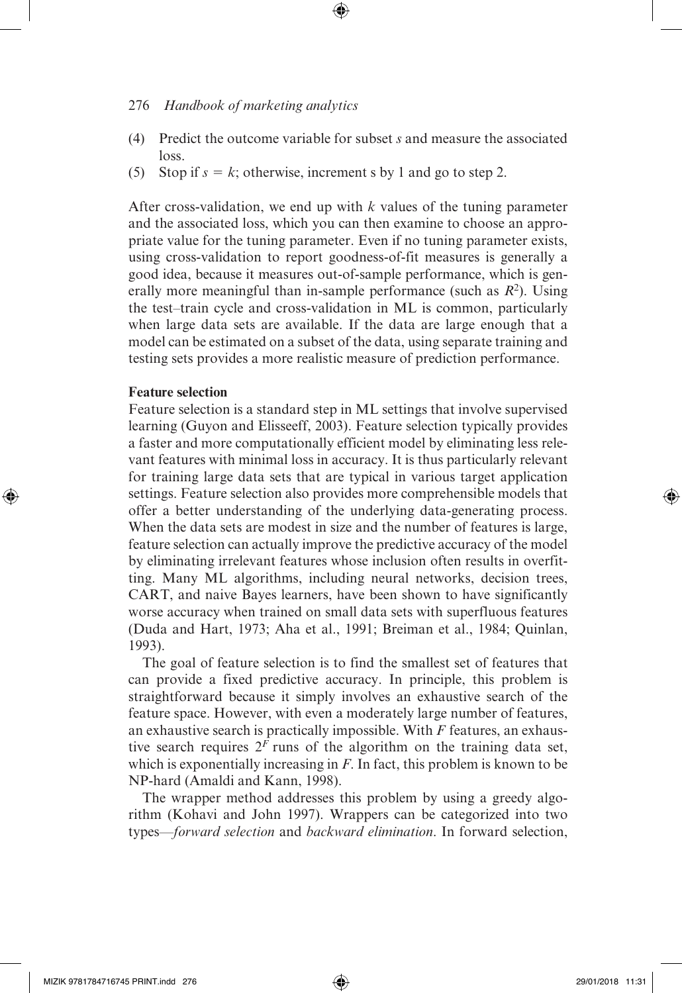(4) Predict the outcome variable for subset *s* and measure the associated loss.

⊕

(5) Stop if  $s = k$ ; otherwise, increment s by 1 and go to step 2.

After cross-validation, we end up with *k* values of the tuning parameter and the associated loss, which you can then examine to choose an appropriate value for the tuning parameter. Even if no tuning parameter exists, using cross-validation to report goodness-of-fit measures is generally a good idea, because it measures out-of-sample performance, which is generally more meaningful than in-sample performance (such as  $R^2$ ). Using the test–train cycle and cross-validation in ML is common, particularly when large data sets are available. If the data are large enough that a model can be estimated on a subset of the data, using separate training and testing sets provides a more realistic measure of prediction performance.

## **Feature selection**

⊕

Feature selection is a standard step in ML settings that involve supervised learning (Guyon and Elisseeff, 2003). Feature selection typically provides a faster and more computationally efficient model by eliminating less relevant features with minimal loss in accuracy. It is thus particularly relevant for training large data sets that are typical in various target application settings. Feature selection also provides more comprehensible models that offer a better understanding of the underlying data-generating process. When the data sets are modest in size and the number of features is large, feature selection can actually improve the predictive accuracy of the model by eliminating irrelevant features whose inclusion often results in overfitting. Many ML algorithms, including neural networks, decision trees, CART, and naive Bayes learners, have been shown to have significantly worse accuracy when trained on small data sets with superfluous features (Duda and Hart, 1973; Aha et al., 1991; Breiman et al., 1984; Quinlan, 1993).

The goal of feature selection is to find the smallest set of features that can provide a fixed predictive accuracy. In principle, this problem is straightforward because it simply involves an exhaustive search of the feature space. However, with even a moderately large number of features, an exhaustive search is practically impossible. With *F* features, an exhaustive search requires  $2<sup>F</sup>$  runs of the algorithm on the training data set, which is exponentially increasing in *F*. In fact, this problem is known to be NP-hard (Amaldi and Kann, 1998).

The wrapper method addresses this problem by using a greedy algorithm (Kohavi and John 1997). Wrappers can be categorized into two types—*forward selection* and *backward elimination*. In forward selection,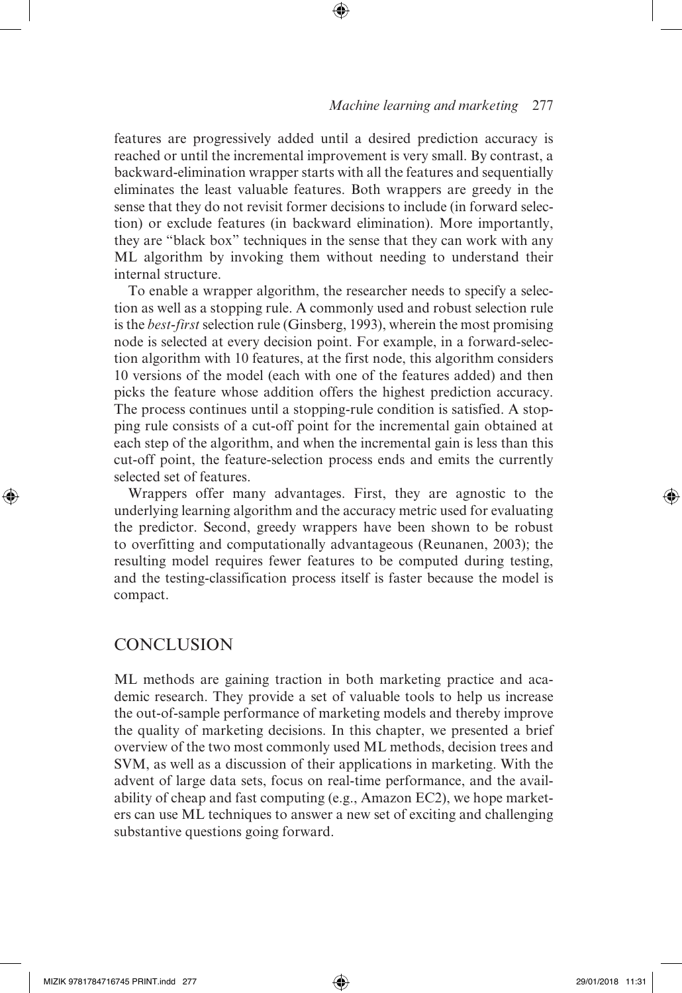## *Machine learning and marketing* 277

features are progressively added until a desired prediction accuracy is reached or until the incremental improvement is very small. By contrast, a backward-elimination wrapper starts with all the features and sequentially eliminates the least valuable features. Both wrappers are greedy in the sense that they do not revisit former decisions to include (in forward selection) or exclude features (in backward elimination). More importantly, they are "black box" techniques in the sense that they can work with any ML algorithm by invoking them without needing to understand their internal structure.

⊕

To enable a wrapper algorithm, the researcher needs to specify a selection as well as a stopping rule. A commonly used and robust selection rule is the *best-first* selection rule (Ginsberg, 1993), wherein the most promising node is selected at every decision point. For example, in a forward-selection algorithm with 10 features, at the first node, this algorithm considers 10 versions of the model (each with one of the features added) and then picks the feature whose addition offers the highest prediction accuracy. The process continues until a stopping-rule condition is satisfied. A stopping rule consists of a cut-off point for the incremental gain obtained at each step of the algorithm, and when the incremental gain is less than this cut-off point, the feature-selection process ends and emits the currently selected set of features.

Wrappers offer many advantages. First, they are agnostic to the underlying learning algorithm and the accuracy metric used for evaluating the predictor. Second, greedy wrappers have been shown to be robust to overfitting and computationally advantageous (Reunanen, 2003); the resulting model requires fewer features to be computed during testing, and the testing-classification process itself is faster because the model is compact.

# **CONCLUSION**

⊕

ML methods are gaining traction in both marketing practice and academic research. They provide a set of valuable tools to help us increase the out-of-sample performance of marketing models and thereby improve the quality of marketing decisions. In this chapter, we presented a brief overview of the two most commonly used ML methods, decision trees and SVM, as well as a discussion of their applications in marketing. With the advent of large data sets, focus on real-time performance, and the availability of cheap and fast computing (e.g., Amazon EC2), we hope marketers can use ML techniques to answer a new set of exciting and challenging substantive questions going forward.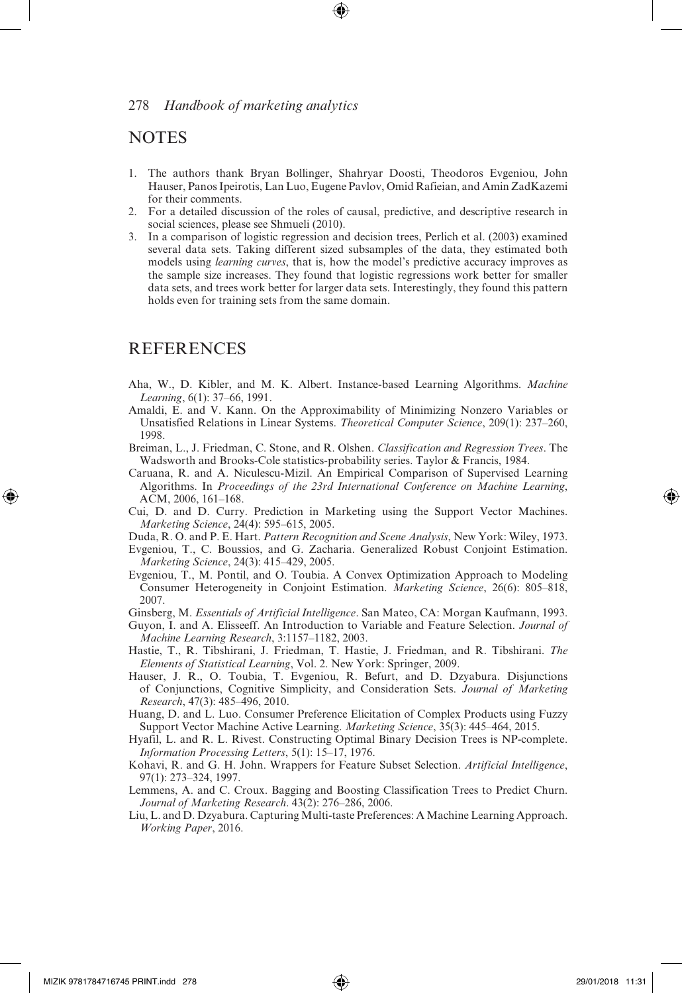## **NOTES**

- 1. The authors thank Bryan Bollinger, Shahryar Doosti, Theodoros Evgeniou, John Hauser, Panos Ipeirotis, Lan Luo, Eugene Pavlov, Omid Rafieian, and Amin ZadKazemi for their comments.
- 2. For a detailed discussion of the roles of causal, predictive, and descriptive research in social sciences, please see Shmueli (2010).
- 3. In a comparison of logistic regression and decision trees, Perlich et al. (2003) examined several data sets. Taking different sized subsamples of the data, they estimated both models using *learning curves*, that is, how the model's predictive accuracy improves as the sample size increases. They found that logistic regressions work better for smaller data sets, and trees work better for larger data sets. Interestingly, they found this pattern holds even for training sets from the same domain.

# **REFERENCES**

⊕

- Aha, W., D. Kibler, and M. K. Albert. Instance-based Learning Algorithms. *Machine Learning*, 6(1): 37–66, 1991.
- Amaldi, E. and V. Kann. On the Approximability of Minimizing Nonzero Variables or Unsatisfied Relations in Linear Systems. *Theoretical Computer Science*, 209(1): 237–260, 1998.
- Breiman, L., J. Friedman, C. Stone, and R. Olshen. *Classification and Regression Trees*. The Wadsworth and Brooks-Cole statistics-probability series. Taylor & Francis, 1984.
- Caruana, R. and A. Niculescu-Mizil. An Empirical Comparison of Supervised Learning Algorithms. In *Proceedings of the 23rd International Conference on Machine Learning*, ACM, 2006, 161–168.
- Cui, D. and D. Curry. Prediction in Marketing using the Support Vector Machines. *Marketing Science*, 24(4): 595–615, 2005.
- Duda, R. O. and P. E. Hart. *Pattern Recognition and Scene Analysis*, New York: Wiley, 1973.
- Evgeniou, T., C. Boussios, and G. Zacharia. Generalized Robust Conjoint Estimation. *Marketing Science*, 24(3): 415–429, 2005.
- Evgeniou, T., M. Pontil, and O. Toubia. A Convex Optimization Approach to Modeling Consumer Heterogeneity in Conjoint Estimation. *Marketing Science*, 26(6): 805–818, 2007.

Ginsberg, M. *Essentials of Artificial Intelligence*. San Mateo, CA: Morgan Kaufmann, 1993.

- Guyon, I. and A. Elisseeff. An Introduction to Variable and Feature Selection. *Journal of Machine Learning Research*, 3:1157–1182, 2003.
- Hastie, T., R. Tibshirani, J. Friedman, T. Hastie, J. Friedman, and R. Tibshirani. *The Elements of Statistical Learning*, Vol. 2. New York: Springer, 2009.
- Hauser, J. R., O. Toubia, T. Evgeniou, R. Befurt, and D. Dzyabura. Disjunctions of Conjunctions, Cognitive Simplicity, and Consideration Sets. *Journal of Marketing Research*, 47(3): 485–496, 2010.
- Huang, D. and L. Luo. Consumer Preference Elicitation of Complex Products using Fuzzy Support Vector Machine Active Learning. *Marketing Science*, 35(3): 445–464, 2015.
- Hyafil, L. and R. L. Rivest. Constructing Optimal Binary Decision Trees is NP-complete. *Information Processing Letters*, 5(1): 15–17, 1976.
- Kohavi, R. and G. H. John. Wrappers for Feature Subset Selection. *Artificial Intelligence*, 97(1): 273–324, 1997.
- Lemmens, A. and C. Croux. Bagging and Boosting Classification Trees to Predict Churn. *Journal of Marketing Research*. 43(2): 276–286, 2006.
- Liu, L. and D. Dzyabura. Capturing Multi-taste Preferences: A Machine Learning Approach. *Working Paper*, 2016.